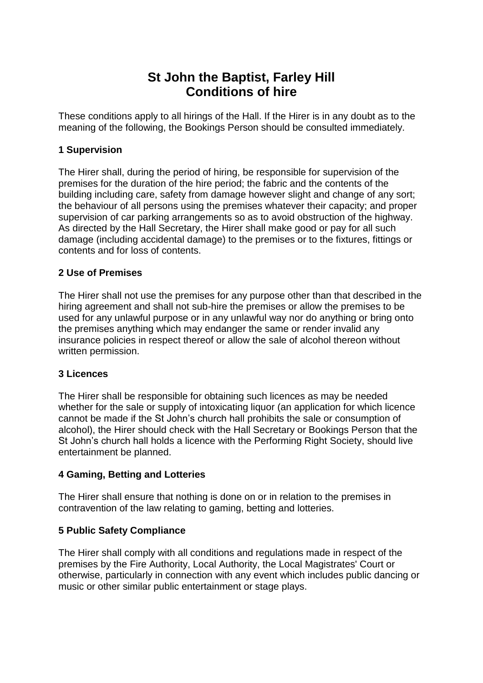# **St John the Baptist, Farley Hill Conditions of hire**

These conditions apply to all hirings of the Hall. If the Hirer is in any doubt as to the meaning of the following, the Bookings Person should be consulted immediately.

# **1 Supervision**

The Hirer shall, during the period of hiring, be responsible for supervision of the premises for the duration of the hire period; the fabric and the contents of the building including care, safety from damage however slight and change of any sort; the behaviour of all persons using the premises whatever their capacity; and proper supervision of car parking arrangements so as to avoid obstruction of the highway. As directed by the Hall Secretary, the Hirer shall make good or pay for all such damage (including accidental damage) to the premises or to the fixtures, fittings or contents and for loss of contents.

# **2 Use of Premises**

The Hirer shall not use the premises for any purpose other than that described in the hiring agreement and shall not sub-hire the premises or allow the premises to be used for any unlawful purpose or in any unlawful way nor do anything or bring onto the premises anything which may endanger the same or render invalid any insurance policies in respect thereof or allow the sale of alcohol thereon without written permission.

## **3 Licences**

The Hirer shall be responsible for obtaining such licences as may be needed whether for the sale or supply of intoxicating liquor (an application for which licence cannot be made if the St John's church hall prohibits the sale or consumption of alcohol), the Hirer should check with the Hall Secretary or Bookings Person that the St John's church hall holds a licence with the Performing Right Society, should live entertainment be planned.

# **4 Gaming, Betting and Lotteries**

The Hirer shall ensure that nothing is done on or in relation to the premises in contravention of the law relating to gaming, betting and lotteries.

## **5 Public Safety Compliance**

The Hirer shall comply with all conditions and regulations made in respect of the premises by the Fire Authority, Local Authority, the Local Magistrates' Court or otherwise, particularly in connection with any event which includes public dancing or music or other similar public entertainment or stage plays.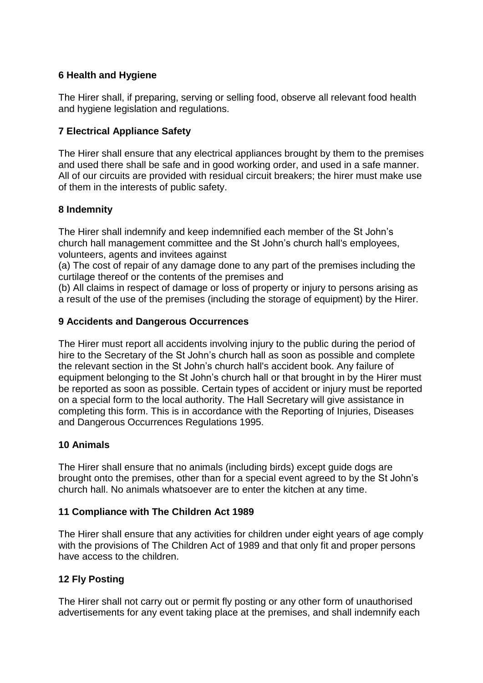# **6 Health and Hygiene**

The Hirer shall, if preparing, serving or selling food, observe all relevant food health and hygiene legislation and regulations.

# **7 Electrical Appliance Safety**

The Hirer shall ensure that any electrical appliances brought by them to the premises and used there shall be safe and in good working order, and used in a safe manner. All of our circuits are provided with residual circuit breakers; the hirer must make use of them in the interests of public safety.

# **8 Indemnity**

The Hirer shall indemnify and keep indemnified each member of the St John's church hall management committee and the St John's church hall's employees, volunteers, agents and invitees against

(a) The cost of repair of any damage done to any part of the premises including the curtilage thereof or the contents of the premises and

(b) All claims in respect of damage or loss of property or injury to persons arising as a result of the use of the premises (including the storage of equipment) by the Hirer.

## **9 Accidents and Dangerous Occurrences**

The Hirer must report all accidents involving injury to the public during the period of hire to the Secretary of the St John's church hall as soon as possible and complete the relevant section in the St John's church hall's accident book. Any failure of equipment belonging to the St John's church hall or that brought in by the Hirer must be reported as soon as possible. Certain types of accident or injury must be reported on a special form to the local authority. The Hall Secretary will give assistance in completing this form. This is in accordance with the Reporting of Injuries, Diseases and Dangerous Occurrences Regulations 1995.

## **10 Animals**

The Hirer shall ensure that no animals (including birds) except guide dogs are brought onto the premises, other than for a special event agreed to by the St John's church hall. No animals whatsoever are to enter the kitchen at any time.

## **11 Compliance with The Children Act 1989**

The Hirer shall ensure that any activities for children under eight years of age comply with the provisions of The Children Act of 1989 and that only fit and proper persons have access to the children.

## **12 Fly Posting**

The Hirer shall not carry out or permit fly posting or any other form of unauthorised advertisements for any event taking place at the premises, and shall indemnify each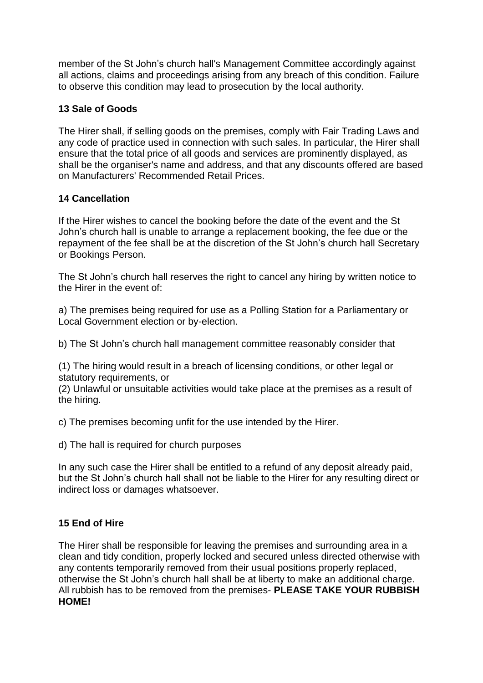member of the St John's church hall's Management Committee accordingly against all actions, claims and proceedings arising from any breach of this condition. Failure to observe this condition may lead to prosecution by the local authority.

# **13 Sale of Goods**

The Hirer shall, if selling goods on the premises, comply with Fair Trading Laws and any code of practice used in connection with such sales. In particular, the Hirer shall ensure that the total price of all goods and services are prominently displayed, as shall be the organiser's name and address, and that any discounts offered are based on Manufacturers' Recommended Retail Prices.

# **14 Cancellation**

If the Hirer wishes to cancel the booking before the date of the event and the St John's church hall is unable to arrange a replacement booking, the fee due or the repayment of the fee shall be at the discretion of the St John's church hall Secretary or Bookings Person.

The St John's church hall reserves the right to cancel any hiring by written notice to the Hirer in the event of:

a) The premises being required for use as a Polling Station for a Parliamentary or Local Government election or by-election.

b) The St John's church hall management committee reasonably consider that

(1) The hiring would result in a breach of licensing conditions, or other legal or statutory requirements, or

(2) Unlawful or unsuitable activities would take place at the premises as a result of the hiring.

c) The premises becoming unfit for the use intended by the Hirer.

d) The hall is required for church purposes

In any such case the Hirer shall be entitled to a refund of any deposit already paid, but the St John's church hall shall not be liable to the Hirer for any resulting direct or indirect loss or damages whatsoever.

# **15 End of Hire**

The Hirer shall be responsible for leaving the premises and surrounding area in a clean and tidy condition, properly locked and secured unless directed otherwise with any contents temporarily removed from their usual positions properly replaced, otherwise the St John's church hall shall be at liberty to make an additional charge. All rubbish has to be removed from the premises- **PLEASE TAKE YOUR RUBBISH HOME!**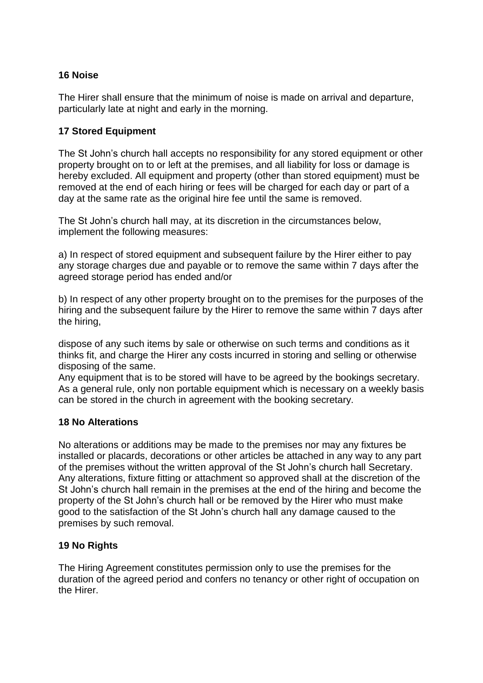# **16 Noise**

The Hirer shall ensure that the minimum of noise is made on arrival and departure, particularly late at night and early in the morning.

# **17 Stored Equipment**

The St John's church hall accepts no responsibility for any stored equipment or other property brought on to or left at the premises, and all liability for loss or damage is hereby excluded. All equipment and property (other than stored equipment) must be removed at the end of each hiring or fees will be charged for each day or part of a day at the same rate as the original hire fee until the same is removed.

The St John's church hall may, at its discretion in the circumstances below, implement the following measures:

a) In respect of stored equipment and subsequent failure by the Hirer either to pay any storage charges due and payable or to remove the same within 7 days after the agreed storage period has ended and/or

b) In respect of any other property brought on to the premises for the purposes of the hiring and the subsequent failure by the Hirer to remove the same within 7 days after the hiring,

dispose of any such items by sale or otherwise on such terms and conditions as it thinks fit, and charge the Hirer any costs incurred in storing and selling or otherwise disposing of the same.

Any equipment that is to be stored will have to be agreed by the bookings secretary. As a general rule, only non portable equipment which is necessary on a weekly basis can be stored in the church in agreement with the booking secretary.

## **18 No Alterations**

No alterations or additions may be made to the premises nor may any fixtures be installed or placards, decorations or other articles be attached in any way to any part of the premises without the written approval of the St John's church hall Secretary. Any alterations, fixture fitting or attachment so approved shall at the discretion of the St John's church hall remain in the premises at the end of the hiring and become the property of the St John's church hall or be removed by the Hirer who must make good to the satisfaction of the St John's church hall any damage caused to the premises by such removal.

## **19 No Rights**

The Hiring Agreement constitutes permission only to use the premises for the duration of the agreed period and confers no tenancy or other right of occupation on the Hirer.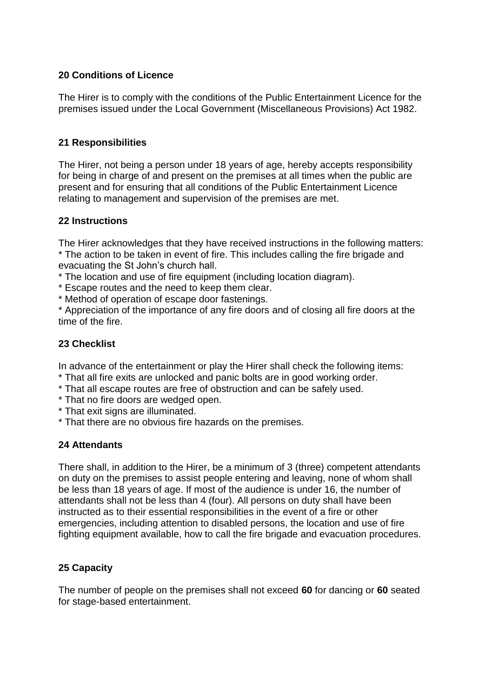# **20 Conditions of Licence**

The Hirer is to comply with the conditions of the Public Entertainment Licence for the premises issued under the Local Government (Miscellaneous Provisions) Act 1982.

## **21 Responsibilities**

The Hirer, not being a person under 18 years of age, hereby accepts responsibility for being in charge of and present on the premises at all times when the public are present and for ensuring that all conditions of the Public Entertainment Licence relating to management and supervision of the premises are met.

## **22 Instructions**

The Hirer acknowledges that they have received instructions in the following matters: \* The action to be taken in event of fire. This includes calling the fire brigade and evacuating the St John's church hall.

\* The location and use of fire equipment (including location diagram).

- \* Escape routes and the need to keep them clear.
- \* Method of operation of escape door fastenings.

\* Appreciation of the importance of any fire doors and of closing all fire doors at the time of the fire.

## **23 Checklist**

In advance of the entertainment or play the Hirer shall check the following items:

- \* That all fire exits are unlocked and panic bolts are in good working order.
- \* That all escape routes are free of obstruction and can be safely used.
- \* That no fire doors are wedged open.
- \* That exit signs are illuminated.
- \* That there are no obvious fire hazards on the premises.

## **24 Attendants**

There shall, in addition to the Hirer, be a minimum of 3 (three) competent attendants on duty on the premises to assist people entering and leaving, none of whom shall be less than 18 years of age. If most of the audience is under 16, the number of attendants shall not be less than 4 (four). All persons on duty shall have been instructed as to their essential responsibilities in the event of a fire or other emergencies, including attention to disabled persons, the location and use of fire fighting equipment available, how to call the fire brigade and evacuation procedures.

## **25 Capacity**

The number of people on the premises shall not exceed **60** for dancing or **60** seated for stage-based entertainment.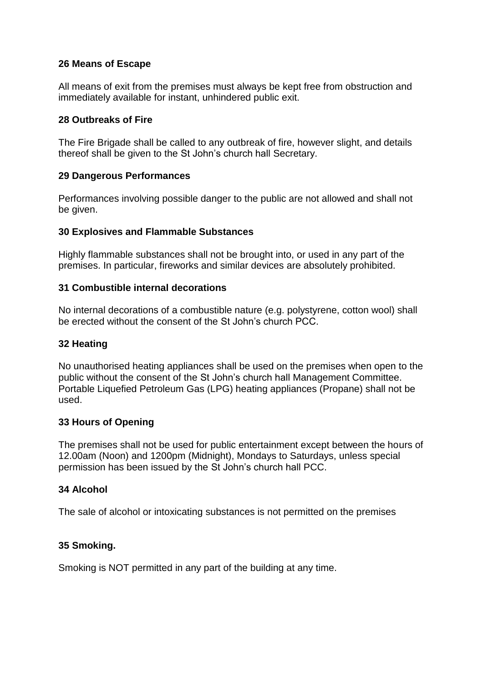# **26 Means of Escape**

All means of exit from the premises must always be kept free from obstruction and immediately available for instant, unhindered public exit.

## **28 Outbreaks of Fire**

The Fire Brigade shall be called to any outbreak of fire, however slight, and details thereof shall be given to the St John's church hall Secretary.

# **29 Dangerous Performances**

Performances involving possible danger to the public are not allowed and shall not be given.

# **30 Explosives and Flammable Substances**

Highly flammable substances shall not be brought into, or used in any part of the premises. In particular, fireworks and similar devices are absolutely prohibited.

# **31 Combustible internal decorations**

No internal decorations of a combustible nature (e.g. polystyrene, cotton wool) shall be erected without the consent of the St John's church PCC.

# **32 Heating**

No unauthorised heating appliances shall be used on the premises when open to the public without the consent of the St John's church hall Management Committee. Portable Liquefied Petroleum Gas (LPG) heating appliances (Propane) shall not be used.

## **33 Hours of Opening**

The premises shall not be used for public entertainment except between the hours of 12.00am (Noon) and 1200pm (Midnight), Mondays to Saturdays, unless special permission has been issued by the St John's church hall PCC.

## **34 Alcohol**

The sale of alcohol or intoxicating substances is not permitted on the premises

## **35 Smoking.**

Smoking is NOT permitted in any part of the building at any time.